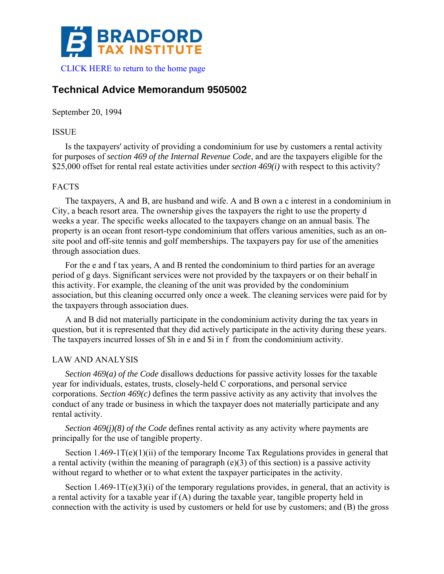

# **Technical Advice Memorandum 9505002**

September 20, 1994

## ISSUE

Is the taxpayers' activity of providing a condominium for use by customers a rental activity for purposes of *section 469 of the Internal Revenue Code*, and are the taxpayers eligible for the \$25,000 offset for rental real estate activities under *section 469(i)* with respect to this activity?

# FACTS

The taxpayers, A and B, are husband and wife. A and B own a c interest in a condominium in City, a beach resort area. The ownership gives the taxpayers the right to use the property d weeks a year. The specific weeks allocated to the taxpayers change on an annual basis. The property is an ocean front resort-type condominium that offers various amenities, such as an onsite pool and off-site tennis and golf memberships. The taxpayers pay for use of the amenities through association dues.

For the e and f tax years, A and B rented the condominium to third parties for an average period of g days. Significant services were not provided by the taxpayers or on their behalf in this activity. For example, the cleaning of the unit was provided by the condominium association, but this cleaning occurred only once a week. The cleaning services were paid for by the taxpayers through association dues.

A and B did not materially participate in the condominium activity during the tax years in question, but it is represented that they did actively participate in the activity during these years. The taxpayers incurred losses of \$h in e and \$i in f from the condominium activity.

## LAW AND ANALYSIS

*Section 469(a) of the Code* disallows deductions for passive activity losses for the taxable year for individuals, estates, trusts, closely-held C corporations, and personal service corporations. *Section 469(c)* defines the term passive activity as any activity that involves the conduct of any trade or business in which the taxpayer does not materially participate and any rental activity.

*Section 469(j)(8) of the Code* defines rental activity as any activity where payments are principally for the use of tangible property.

Section 1.469-1T(e)(1)(ii) of the temporary Income Tax Regulations provides in general that a rental activity (within the meaning of paragraph (e)(3) of this section) is a passive activity without regard to whether or to what extent the taxpayer participates in the activity.

Section 1.469-1 $T(e)(3)(i)$  of the temporary regulations provides, in general, that an activity is a rental activity for a taxable year if (A) during the taxable year, tangible property held in connection with the activity is used by customers or held for use by customers; and (B) the gross